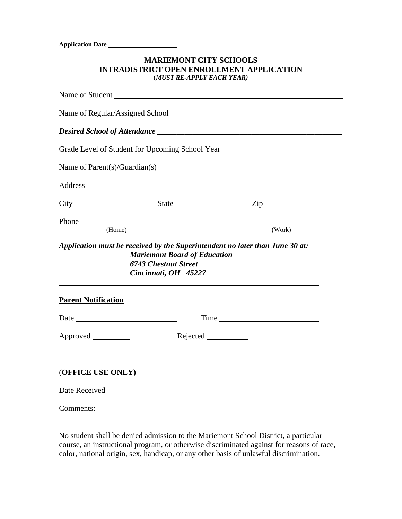**Application Date** 

 $\overline{a}$ 

| <b>MARIEMONT CITY SCHOOLS</b>             |
|-------------------------------------------|
| INTRADISTRICT OPEN ENROLLMENT APPLICATION |
| (MUST RE-APPLY EACH YEAR)                 |

|                            |                                                                                            | Grade Level of Student for Upcoming School Year ________________________________ |  |  |  |
|----------------------------|--------------------------------------------------------------------------------------------|----------------------------------------------------------------------------------|--|--|--|
|                            |                                                                                            |                                                                                  |  |  |  |
|                            |                                                                                            |                                                                                  |  |  |  |
|                            |                                                                                            | $City$ $City$ $State$ $Zip$                                                      |  |  |  |
|                            | Phone (Home)                                                                               | (Work)                                                                           |  |  |  |
|                            | <b>Mariemont Board of Education</b><br><b>6743 Chestnut Street</b><br>Cincinnati, OH 45227 | Application must be received by the Superintendent no later than June 30 at:     |  |  |  |
| <b>Parent Notification</b> |                                                                                            |                                                                                  |  |  |  |
| Date <u>Date</u>           |                                                                                            | Time                                                                             |  |  |  |
| Approved _________         |                                                                                            |                                                                                  |  |  |  |
| (OFFICE USE ONLY)          |                                                                                            |                                                                                  |  |  |  |
|                            |                                                                                            |                                                                                  |  |  |  |
| Comments:                  |                                                                                            |                                                                                  |  |  |  |

No student shall be denied admission to the Mariemont School District, a particular course, an instructional program, or otherwise discriminated against for reasons of race, color, national origin, sex, handicap, or any other basis of unlawful discrimination.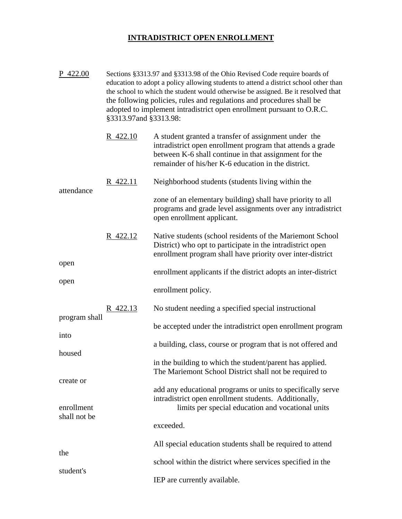## **INTRADISTRICT OPEN ENROLLMENT**

| P 422.00                   | Sections §3313.97 and §3313.98 of the Ohio Revised Code require boards of<br>education to adopt a policy allowing students to attend a district school other than<br>the school to which the student would otherwise be assigned. Be it resolved that<br>the following policies, rules and regulations and procedures shall be<br>adopted to implement intradistrict open enrollment pursuant to O.R.C.<br>§3313.97and §3313.98: |                                                                                                                                                                                                                                    |  |  |
|----------------------------|----------------------------------------------------------------------------------------------------------------------------------------------------------------------------------------------------------------------------------------------------------------------------------------------------------------------------------------------------------------------------------------------------------------------------------|------------------------------------------------------------------------------------------------------------------------------------------------------------------------------------------------------------------------------------|--|--|
| attendance<br>open<br>open | R 422.10                                                                                                                                                                                                                                                                                                                                                                                                                         | A student granted a transfer of assignment under the<br>intradistrict open enrollment program that attends a grade<br>between K-6 shall continue in that assignment for the<br>remainder of his/her K-6 education in the district. |  |  |
|                            | R 422.11                                                                                                                                                                                                                                                                                                                                                                                                                         | Neighborhood students (students living within the                                                                                                                                                                                  |  |  |
|                            |                                                                                                                                                                                                                                                                                                                                                                                                                                  | zone of an elementary building) shall have priority to all<br>programs and grade level assignments over any intradistrict<br>open enrollment applicant.                                                                            |  |  |
|                            | <u>R 422.12</u>                                                                                                                                                                                                                                                                                                                                                                                                                  | Native students (school residents of the Mariemont School<br>District) who opt to participate in the intradistrict open<br>enrollment program shall have priority over inter-district                                              |  |  |
|                            |                                                                                                                                                                                                                                                                                                                                                                                                                                  | enrollment applicants if the district adopts an inter-district                                                                                                                                                                     |  |  |
|                            |                                                                                                                                                                                                                                                                                                                                                                                                                                  | enrollment policy.                                                                                                                                                                                                                 |  |  |
|                            | R 422.13                                                                                                                                                                                                                                                                                                                                                                                                                         | No student needing a specified special instructional                                                                                                                                                                               |  |  |
| program shall<br>into      |                                                                                                                                                                                                                                                                                                                                                                                                                                  | be accepted under the intradistrict open enrollment program                                                                                                                                                                        |  |  |
| housed                     |                                                                                                                                                                                                                                                                                                                                                                                                                                  | a building, class, course or program that is not offered and                                                                                                                                                                       |  |  |
|                            |                                                                                                                                                                                                                                                                                                                                                                                                                                  | in the building to which the student/parent has applied.<br>The Mariemont School District shall not be required to                                                                                                                 |  |  |
| create or                  |                                                                                                                                                                                                                                                                                                                                                                                                                                  | add any educational programs or units to specifically serve<br>intradistrict open enrollment students. Additionally,                                                                                                               |  |  |
| enrollment<br>shall not be |                                                                                                                                                                                                                                                                                                                                                                                                                                  | limits per special education and vocational units                                                                                                                                                                                  |  |  |
|                            |                                                                                                                                                                                                                                                                                                                                                                                                                                  | exceeded.                                                                                                                                                                                                                          |  |  |
| the                        |                                                                                                                                                                                                                                                                                                                                                                                                                                  | All special education students shall be required to attend                                                                                                                                                                         |  |  |
| student's                  |                                                                                                                                                                                                                                                                                                                                                                                                                                  | school within the district where services specified in the                                                                                                                                                                         |  |  |
|                            |                                                                                                                                                                                                                                                                                                                                                                                                                                  | IEP are currently available.                                                                                                                                                                                                       |  |  |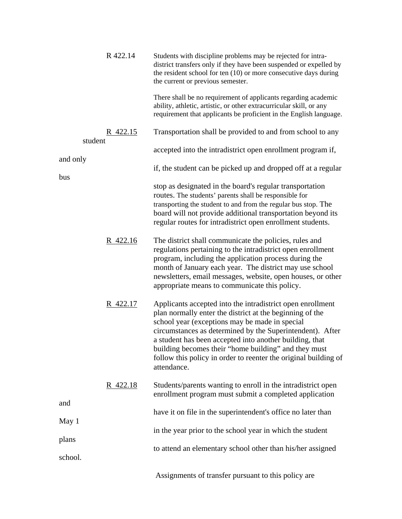| student<br>and only<br>bus | R 422.14 | Students with discipline problems may be rejected for intra-<br>district transfers only if they have been suspended or expelled by<br>the resident school for ten $(10)$ or more consecutive days during<br>the current or previous semester.                                                                                                                                                                                              |
|----------------------------|----------|--------------------------------------------------------------------------------------------------------------------------------------------------------------------------------------------------------------------------------------------------------------------------------------------------------------------------------------------------------------------------------------------------------------------------------------------|
|                            |          | There shall be no requirement of applicants regarding academic<br>ability, athletic, artistic, or other extracurricular skill, or any<br>requirement that applicants be proficient in the English language.                                                                                                                                                                                                                                |
|                            | R 422.15 | Transportation shall be provided to and from school to any                                                                                                                                                                                                                                                                                                                                                                                 |
|                            |          | accepted into the intradistrict open enrollment program if,                                                                                                                                                                                                                                                                                                                                                                                |
|                            |          | if, the student can be picked up and dropped off at a regular                                                                                                                                                                                                                                                                                                                                                                              |
|                            |          | stop as designated in the board's regular transportation<br>routes. The students' parents shall be responsible for<br>transporting the student to and from the regular bus stop. The<br>board will not provide additional transportation beyond its<br>regular routes for intradistrict open enrollment students.                                                                                                                          |
|                            | R 422.16 | The district shall communicate the policies, rules and<br>regulations pertaining to the intradistrict open enrollment<br>program, including the application process during the<br>month of January each year. The district may use school<br>newsletters, email messages, website, open houses, or other<br>appropriate means to communicate this policy.                                                                                  |
|                            | R 422.17 | Applicants accepted into the intradistrict open enrollment<br>plan normally enter the district at the beginning of the<br>school year (exceptions may be made in special<br>circumstances as determined by the Superintendent). After<br>a student has been accepted into another building, that<br>building becomes their "home building" and they must<br>follow this policy in order to reenter the original building of<br>attendance. |
| and<br>May 1<br>plans      | R 422.18 | Students/parents wanting to enroll in the intradistrict open<br>enrollment program must submit a completed application                                                                                                                                                                                                                                                                                                                     |
|                            |          | have it on file in the superintendent's office no later than                                                                                                                                                                                                                                                                                                                                                                               |
|                            |          | in the year prior to the school year in which the student                                                                                                                                                                                                                                                                                                                                                                                  |
|                            |          | to attend an elementary school other than his/her assigned                                                                                                                                                                                                                                                                                                                                                                                 |
| school.                    |          |                                                                                                                                                                                                                                                                                                                                                                                                                                            |
|                            |          | Assignments of transfer pursuant to this policy are                                                                                                                                                                                                                                                                                                                                                                                        |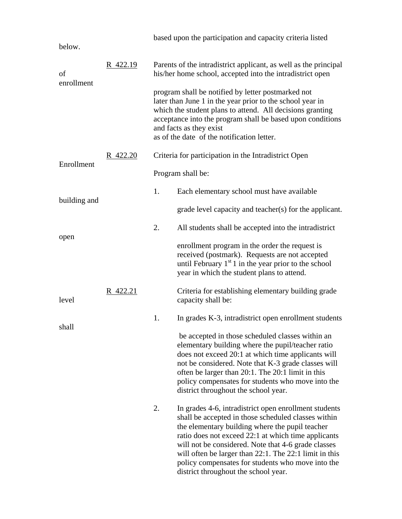|                  |          |                                                                                                                                                                                                                                                                                                                     | based upon the participation and capacity criteria listed                                                                                                                                                                                                                                                                                                                                                                            |  |
|------------------|----------|---------------------------------------------------------------------------------------------------------------------------------------------------------------------------------------------------------------------------------------------------------------------------------------------------------------------|--------------------------------------------------------------------------------------------------------------------------------------------------------------------------------------------------------------------------------------------------------------------------------------------------------------------------------------------------------------------------------------------------------------------------------------|--|
| below.           |          |                                                                                                                                                                                                                                                                                                                     |                                                                                                                                                                                                                                                                                                                                                                                                                                      |  |
| of<br>enrollment | R 422.19 | Parents of the intradistrict applicant, as well as the principal<br>his/her home school, accepted into the intradistrict open                                                                                                                                                                                       |                                                                                                                                                                                                                                                                                                                                                                                                                                      |  |
|                  |          | program shall be notified by letter postmarked not<br>later than June 1 in the year prior to the school year in<br>which the student plans to attend. All decisions granting<br>acceptance into the program shall be based upon conditions<br>and facts as they exist<br>as of the date of the notification letter. |                                                                                                                                                                                                                                                                                                                                                                                                                                      |  |
| Enrollment       | R 422.20 | Criteria for participation in the Intradistrict Open                                                                                                                                                                                                                                                                |                                                                                                                                                                                                                                                                                                                                                                                                                                      |  |
|                  |          | Program shall be:                                                                                                                                                                                                                                                                                                   |                                                                                                                                                                                                                                                                                                                                                                                                                                      |  |
|                  |          | 1.                                                                                                                                                                                                                                                                                                                  | Each elementary school must have available                                                                                                                                                                                                                                                                                                                                                                                           |  |
| building and     |          |                                                                                                                                                                                                                                                                                                                     | grade level capacity and teacher(s) for the applicant.                                                                                                                                                                                                                                                                                                                                                                               |  |
|                  |          | 2.                                                                                                                                                                                                                                                                                                                  | All students shall be accepted into the intradistrict                                                                                                                                                                                                                                                                                                                                                                                |  |
| open             |          |                                                                                                                                                                                                                                                                                                                     | enrollment program in the order the request is<br>received (postmark). Requests are not accepted<br>until February $1st 1$ in the year prior to the school<br>year in which the student plans to attend.                                                                                                                                                                                                                             |  |
| level            | R 422.21 |                                                                                                                                                                                                                                                                                                                     | Criteria for establishing elementary building grade<br>capacity shall be:                                                                                                                                                                                                                                                                                                                                                            |  |
| shall            |          | 1.                                                                                                                                                                                                                                                                                                                  | In grades K-3, intradistrict open enrollment students                                                                                                                                                                                                                                                                                                                                                                                |  |
|                  |          |                                                                                                                                                                                                                                                                                                                     | be accepted in those scheduled classes within an<br>elementary building where the pupil/teacher ratio<br>does not exceed 20:1 at which time applicants will<br>not be considered. Note that K-3 grade classes will<br>often be larger than 20:1. The 20:1 limit in this<br>policy compensates for students who move into the<br>district throughout the school year.                                                                 |  |
|                  |          | 2.                                                                                                                                                                                                                                                                                                                  | In grades 4-6, intradistrict open enrollment students<br>shall be accepted in those scheduled classes within<br>the elementary building where the pupil teacher<br>ratio does not exceed 22:1 at which time applicants<br>will not be considered. Note that 4-6 grade classes<br>will often be larger than 22:1. The 22:1 limit in this<br>policy compensates for students who move into the<br>district throughout the school year. |  |